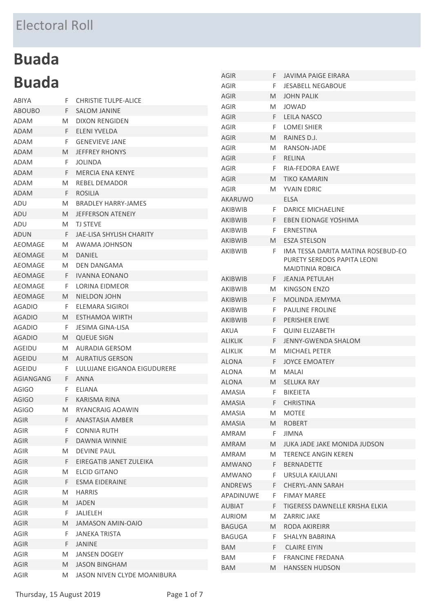# Electoral Roll

# **Buada**  $\overline{a}$

| <u>Buada</u>  |        |                             | AGIR           | F  | <b>JESABELL NEGABOUE</b>           |
|---------------|--------|-----------------------------|----------------|----|------------------------------------|
| ABIYA         | F.     | <b>CHRISTIE TULPE-ALICE</b> | <b>AGIR</b>    | M  | JOHN PALIK                         |
| <b>ABOUBO</b> | F.     | <b>SALOM JANINE</b>         | <b>AGIR</b>    | M  | JOWAD                              |
| ADAM          | M      | <b>DIXON RENGIDEN</b>       | AGIR           |    | F LEILA NASCO                      |
| ADAM          | F.     | ELENI YVELDA                | <b>AGIR</b>    | F. | <b>LOMEI SHIER</b>                 |
|               |        | <b>GENEVIEVE JANE</b>       | AGIR           | M  | RAINES D.J.                        |
| ADAM          | F.     | <b>JEFFREY RHONYS</b>       | <b>AGIR</b>    | M  | RANSON-JADE                        |
| ADAM<br>ADAM  | M<br>F | JOLINDA                     | AGIR           |    | F RELINA                           |
| ADAM          | F.     | <b>MERCIA ENA KENYE</b>     | <b>AGIR</b>    | F. | <b>RIA-FEDORA EAWE</b>             |
| ADAM          | M      | <b>REBEL DEMADOR</b>        | AGIR           | M  | <b>TIKO KAMARIN</b>                |
| ADAM          | F.     | ROSILIA                     | AGIR           | M  | YVAIN EDRIC                        |
| ADU           | M      | <b>BRADLEY HARRY-JAMES</b>  | <b>AKARUWO</b> |    | <b>ELSA</b>                        |
| ADU           | M      | JEFFERSON ATENEIY           | AKIBWIB        |    | <b>F</b> DARICE MICHAELINE         |
| ADU           | M      | <b>TJ STEVE</b>             | AKIBWIB        |    | F EBEN EIONAGE YOSHIMA             |
| ADUN          |        | JAE-LISA SHYLISH CHARITY    | AKIBWIB        | F  | ERNESTINA                          |
| AEOMAGE       | M      | AWAMA JOHNSON               | AKIBWIB        | M  | <b>ESZA STELSON</b>                |
| AEOMAGE       | M      | DANIEL                      | AKIBWIB        | F  | IMA TESSA DARITA MATINA ROSEBUD-EO |
| AEOMAGE       | M      | <b>DEN DANGAMA</b>          |                |    | PURETY SEREDOS PAPITA LEONI        |
| AEOMAGE       | F.     | <b>IVANNA EONANO</b>        |                |    | MAIDTINIA ROBICA                   |
| AEOMAGE       | F.     | LORINA EIDMEOR              | <b>AKIBWIB</b> |    | F JEANJA PETULAH                   |
| AEOMAGE       | M      | NIELDON JOHN                | AKIBWIB        |    | M KINGSON ENZO                     |
| AGADIO        | F      | ELEMARA SIGIROI             | AKIBWIB        | F. | MOLINDA JEMYMA                     |
| <b>AGADIO</b> | M      | <b>ESTHAMOA WIRTH</b>       | AKIBWIB        | F. | <b>PAULINE FROLINE</b>             |
| <b>AGADIO</b> | F      | JESIMA GINA-LISA            | AKIBWIB        |    | <b>F</b> PERISHER EIWE             |
| <b>AGADIO</b> | M      | <b>QUEUE SIGN</b>           | <b>AKUA</b>    | F. | QUINI ELIZABETH                    |
| AGEIDU        | M      | AURADIA GERSOM              | <b>ALIKLIK</b> | F. | JENNY-GWENDA SHALOM                |
| <b>AGEIDU</b> | M      | <b>AURATIUS GERSON</b>      | ALIKLIK        | M  | <b>MICHAEL PETER</b>               |
| AGEIDU        | F.     | LULUJANE EIGANOA EIGUDURERE | ALONA          | F. | <b>JOYCE EMOATEIY</b>              |
| AGIANGANG     | F.     | <b>ANNA</b>                 | ALONA          | M  | MALAI                              |
| <b>AGIGO</b>  | F.     | ELIANA                      | ALONA          | M  | SELUKA RAY                         |
| <b>AGIGO</b>  | F.     | KARISMA RINA                | <b>AMASIA</b>  | F. | <b>BIKEIETA</b>                    |
| <b>AGIGO</b>  | M      | <b>RYANCRAIG AOAWIN</b>     | <b>AMASIA</b>  | F. | <b>CHRISTINA</b>                   |
| AGIR          |        | F ANASTASIA AMBER           | AMASIA         | M  | <b>MOTEE</b>                       |
| AGIR          | F.     | <b>CONNIA RUTH</b>          | AMASIA         | M  | <b>ROBERT</b>                      |
| AGIR          | F.     | DAWNIA WINNIE               | AMRAM          | F. | JIMNA                              |
| AGIR          | M      | <b>DEVINE PAUL</b>          | AMRAM          | M  | JUKA JADE JAKE MONIDA JUDSON       |
| AGIR          | F.     | EIREGATIB JANET ZULEIKA     | AMRAM          | M  | <b>TERENCE ANGIN KEREN</b>         |
| AGIR          | M      | <b>ELCID GITANO</b>         | AMWANO         | F. | <b>BERNADETTE</b>                  |
| AGIR          | F.     | <b>ESMA EIDERAINE</b>       | AMWANO         | F. | URSULA KAIULANI                    |
| AGIR          | M      | <b>HARRIS</b>               | ANDREWS        |    | F CHERYL-ANN SARAH                 |
| AGIR          | M      | <b>JADEN</b>                | APADINUWE      | F. | <b>FIMAY MAREE</b>                 |
| AGIR          | F      | JALIELEH                    | <b>AUBIAT</b>  | F. | TIGERESS DAWNELLE KRISHA ELKIA     |
| AGIR          | M      | <b>JAMASON AMIN-OAIO</b>    | <b>AURIOM</b>  | M  | ZARRIC JAKE                        |
| AGIR          | F      | JANEKA TRISTA               | <b>BAGUGA</b>  | M  | RODA AKIREIRR                      |
| AGIR          | F.     | JANINE                      | <b>BAGUGA</b>  | F. | SHALYN BABRINA                     |
| AGIR          | M      | JANSEN DOGEIY               | BAM            | F. | <b>CLAIRE EIYIN</b>                |
| AGIR          | M      | <b>JASON BINGHAM</b>        | BAM            | F  | <b>FRANCINE FREDANA</b>            |
| AGIR          | M      | JASON NIVEN CLYDE MOANIBURA | BAM            | M  | <b>HANSSEN HUDSON</b>              |
|               |        |                             |                |    |                                    |

AGIR

F JAVIMA PAIGE EIRARA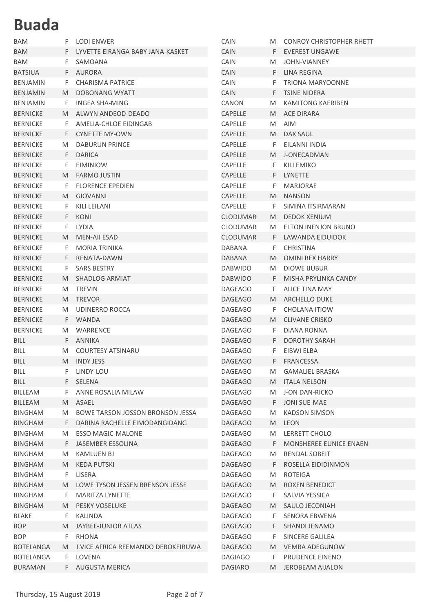| BAM              | F. | LODI ENWER                              | <b>CAIN</b>     | M  | <b>CONROY CHRISTOPHER RHETT</b> |
|------------------|----|-----------------------------------------|-----------------|----|---------------------------------|
| BAM              | F. | LYVETTE EIRANGA BABY JANA-KASKET        | <b>CAIN</b>     | F. | EVEREST UNGAWE                  |
| BAM              | F. | SAMOANA                                 | <b>CAIN</b>     | M  | JOHN-VIANNEY                    |
| <b>BATSIUA</b>   |    | F AURORA                                | <b>CAIN</b>     | F. | LINA REGINA                     |
| <b>BENJAMIN</b>  | F. | <b>CHARISMA PATRICE</b>                 | <b>CAIN</b>     | F. | <b>TRIONA MARYOONNE</b>         |
| <b>BENJAMIN</b>  | M  | DOBONANG WYATT                          | <b>CAIN</b>     | F. | <b>TSINE NIDERA</b>             |
| <b>BENJAMIN</b>  | F. | INGEA SHA-MING                          | CANON           | M  | <b>KAMITONG KAERIBEN</b>        |
| <b>BERNICKE</b>  |    | M ALWYN ANDEOD-DEADO                    | <b>CAPELLE</b>  | M  | ACE DIRARA                      |
| <b>BERNICKE</b>  | F. | AMELIA-CHLOE EIDINGAB                   | CAPELLE         | M  | <b>AIM</b>                      |
| <b>BERNICKE</b>  | F. | <b>CYNETTE MY-OWN</b>                   | <b>CAPELLE</b>  | M  | DAX SAUL                        |
| <b>BERNICKE</b>  | M  | <b>DABURUN PRINCE</b>                   | CAPELLE         | F. | EILANNI INDIA                   |
| <b>BERNICKE</b>  | F. | <b>DARICA</b>                           | <b>CAPELLE</b>  | M  | J-ONECADMAN                     |
| <b>BERNICKE</b>  | F. | <b>EIMINIOW</b>                         | CAPELLE         | F. | <b>KILI EMIKO</b>               |
| <b>BERNICKE</b>  | M  | <b>FARMO JUSTIN</b>                     | <b>CAPELLE</b>  |    | F LYNETTE                       |
| <b>BERNICKE</b>  | F. | <b>FLORENCE EPEDIEN</b>                 | CAPELLE         | F  | <b>MARJORAE</b>                 |
| <b>BERNICKE</b>  | M  | <b>GIOVANNI</b>                         | <b>CAPELLE</b>  | M  | <b>NANSON</b>                   |
| <b>BERNICKE</b>  | F. | KILI LEILANI                            | <b>CAPELLE</b>  | F. | SIMINA ITSIRMARAN               |
| <b>BERNICKE</b>  | F. | <b>KONI</b>                             | <b>CLODUMAR</b> | M  | <b>DEDOK XENIUM</b>             |
| <b>BERNICKE</b>  | F. | LYDIA                                   | <b>CLODUMAR</b> | M  | ELTON INENJON BRUNO             |
| <b>BERNICKE</b>  | M  | <b>MEN-AII ESAD</b>                     | <b>CLODUMAR</b> |    | F LAWANDA EIDUIDOK              |
| <b>BERNICKE</b>  | F. | MORIA TRINIKA                           | DABANA          | F. | <b>CHRISTINA</b>                |
| <b>BERNICKE</b>  | F. | RENATA-DAWN                             | DABANA          | M  | <b>OMINI REX HARRY</b>          |
| <b>BERNICKE</b>  | F. | <b>SARS BESTRY</b>                      | <b>DABWIDO</b>  | M  | DIOWE IJUBUR                    |
| <b>BERNICKE</b>  | M  | <b>SHADLOG ARMIAT</b>                   | <b>DABWIDO</b>  | F. | MISHA PRYLINKA CANDY            |
| <b>BERNICKE</b>  | M  | <b>TREVIN</b>                           | DAGEAGO         | F. | ALICE TINA MAY                  |
| <b>BERNICKE</b>  | M  | <b>TREVOR</b>                           | <b>DAGEAGO</b>  | M  | <b>ARCHELLO DUKE</b>            |
| <b>BERNICKE</b>  | M  | <b>UDINERRO ROCCA</b>                   | DAGEAGO         | F. | CHOLANA ITIOW                   |
| <b>BERNICKE</b>  | F. | WANDA                                   | <b>DAGEAGO</b>  | M  | CLIVANE CRISKO                  |
| <b>BERNICKE</b>  | M  | WARRENCE                                | <b>DAGEAGO</b>  | F. | DIANA RONNA                     |
| <b>BILL</b>      | F. | <b>ANNIKA</b>                           | <b>DAGEAGO</b>  | F. | DOROTHY SARAH                   |
| <b>BILL</b>      | M  | <b>COURTESY ATSINARU</b>                | <b>DAGEAGO</b>  | F. | EIBWI ELBA                      |
| <b>BILL</b>      | M  | INDY JESS                               | <b>DAGEAGO</b>  | F. | <b>FRANCESSA</b>                |
| BILL             | F. | LINDY-LOU                               | <b>DAGEAGO</b>  | M  | GAMALIEL BRASKA                 |
| <b>BILL</b>      | F. | SELENA                                  | <b>DAGEAGO</b>  | M  | <b>ITALA NELSON</b>             |
| BILLEAM          | F. | ANNE ROSALIA MILAW                      | <b>DAGEAGO</b>  | M  | J-ON DAN-RICKO                  |
| <b>BILLEAM</b>   | M  | ASAEL                                   | DAGEAGO         |    | F JONI SUE-MAE                  |
| <b>BINGHAM</b>   | M  | <b>BOWE TARSON JOSSON BRONSON JESSA</b> | <b>DAGEAGO</b>  | M  | <b>KADSON SIMSON</b>            |
| <b>BINGHAM</b>   | F. | DARINA RACHELLE EIMODANGIDANG           | <b>DAGEAGO</b>  | M  | LEON                            |
| <b>BINGHAM</b>   | M  | <b>ESSO MAGIC-MALONE</b>                | <b>DAGEAGO</b>  | M  | LERRETT CHOLO                   |
| <b>BINGHAM</b>   | F. | JASEMBER ESSOLINA                       | <b>DAGEAGO</b>  | F. | MONSHEREE EUNICE ENAEN          |
| <b>BINGHAM</b>   | M  | <b>KAMLUEN BJ</b>                       | <b>DAGEAGO</b>  | M  | RENDAL SOBEIT                   |
| <b>BINGHAM</b>   | M  | <b>KEDA PUTSKI</b>                      | <b>DAGEAGO</b>  | F. | ROSELLA EIDIDINMON              |
| <b>BINGHAM</b>   | F. | LISERA                                  | DAGEAGO         | M  | ROTEIGA                         |
| <b>BINGHAM</b>   |    | M LOWE TYSON JESSEN BRENSON JESSE       | <b>DAGEAGO</b>  | M  | ROXEN BENEDICT                  |
| <b>BINGHAM</b>   | F. | MARITZA LYNETTE                         | <b>DAGEAGO</b>  | F. | SALVIA YESSICA                  |
| <b>BINGHAM</b>   | M  | <b>PESKY VOSELUKE</b>                   | <b>DAGEAGO</b>  | M  | SAULO JECONIAH                  |
| <b>BLAKE</b>     | F. | KALINDA                                 | DAGEAGO         | F. | SENORA EBWENA                   |
| <b>BOP</b>       | M. | JAYBEE-JUNIOR ATLAS                     | <b>DAGEAGO</b>  |    | F SHANDI JENAMO                 |
| <b>BOP</b>       | F. | RHONA                                   | DAGEAGO         | F. | SINCERE GALILEA                 |
| <b>BOTELANGA</b> |    | M J.VICE AFRICA REEMANDO DEBOKEIRUWA    | <b>DAGEAGO</b>  |    | VEMBA ADEGUNOW                  |
|                  |    | LOVENA                                  | <b>DAGIAGO</b>  | M  | PRUDENCE EINENO                 |
| <b>BOTELANGA</b> | F. |                                         |                 | F. |                                 |
| <b>BURAMAN</b>   |    | F AUGUSTA MERICA                        | <b>DAGIARO</b>  |    | M JEROBEAM AIJALON              |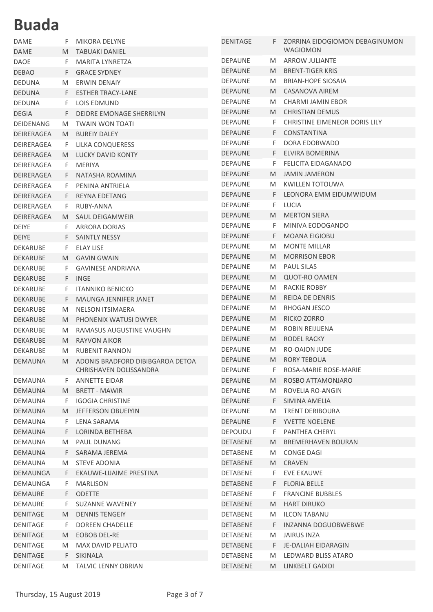| DAME             | F.       | MIKORA DELYNE                      | DENITAGE        | F. | ZORRINA EIDOGIOMON DEBAGINUMON  |
|------------------|----------|------------------------------------|-----------------|----|---------------------------------|
| <b>DAME</b>      | M.       | <b>TABUAKI DANIEL</b>              |                 |    | WAGIOMON                        |
| DAOE             | F.       | MARITA LYNRETZA                    | <b>DEPAUNE</b>  | M  | <b>ARROW JULIANTE</b>           |
| <b>DEBAO</b>     |          | <b>F</b> GRACE SYDNEY              | <b>DEPAUNE</b>  | M  | <b>BRENT-TIGER KRIS</b>         |
| <b>DEDUNA</b>    | M        | ERWIN DENAIY                       | <b>DEPAUNE</b>  | M  | <b>BRIAN-HOPE SIOSAIA</b>       |
| <b>DEDUNA</b>    |          | F ESTHER TRACY-LANE                | <b>DEPAUNE</b>  | M  | CASANOVA AIREM                  |
| <b>DEDUNA</b>    |          | <b>F</b> LOIS EDMUND               | <b>DEPAUNE</b>  | M  | CHARMI JAMIN EBOR               |
| <b>DEGIA</b>     |          | F DEIDRE EMONAGE SHERRILYN         | <b>DEPAUNE</b>  |    | M CHRISTIAN DEMUS               |
| <b>DEIDENANG</b> | M        | TWAIN WON TOATI                    | DEPAUNE         |    | F CHRISTINE EIMENEOR DORIS LILY |
| DEIRERAGEA       | M.       | <b>BUREIY DALEY</b>                | <b>DEPAUNE</b>  |    | F CONSTANTINA                   |
| DEIRERAGEA       | F.       | LILKA CONQUERESS                   | <b>DEPAUNE</b>  | F. | DORA EDOBWADO                   |
| DEIRERAGEA       | M.       | LUCKY DAVID KONTY                  | <b>DEPAUNE</b>  |    | F ELVIRA BOMERINA               |
| DEIRERAGEA       | F.       | MERIYA                             | <b>DEPAUNE</b>  | F. | FELICITA EIDAGANADO             |
| DEIRERAGEA       |          | F NATASHA ROAMINA                  | <b>DEPAUNE</b>  | M. | JAMIN JAMERON                   |
| DEIRERAGEA       | F.       | PENINA ANTRIELA                    | DEPAUNE         |    | M KWILLEN TOTOUWA               |
| DEIRERAGEA       | F.       | <b>REYNA EDETANG</b>               | <b>DEPAUNE</b>  |    | F LEONORA EMM EIDUMWIDUM        |
| DEIRERAGEA       | F.       | RUBY-ANNA                          | DEPAUNE         | F. | LUCIA                           |
| DEIRERAGEA       | M.       | SAUL DEIGAMWEIR                    | <b>DEPAUNE</b>  | M  | <b>MERTON SIERA</b>             |
| DEIYE            | F.       | <b>ARRORA DORIAS</b>               | DEPAUNE         | F. | MINIVA EODOGANDO                |
| <b>DEIYE</b>     |          | <b>F</b> SAINTLY NESSY             | <b>DEPAUNE</b>  |    | F MOANA EIGIOBU                 |
| <b>DEKARUBE</b>  | F.       | <b>ELAY LISE</b>                   | <b>DEPAUNE</b>  | M  | <b>MONTE MILLAR</b>             |
| DEKARUBE         | M        | <b>GAVIN GWAIN</b>                 | <b>DEPAUNE</b>  | M  | <b>MORRISON EBOR</b>            |
| <b>DEKARUBE</b>  | F.       | <b>GAVINESE ANDRIANA</b>           | <b>DEPAUNE</b>  | M  | PAUL SILAS                      |
| <b>DEKARUBE</b>  |          | F INGE                             | <b>DEPAUNE</b>  | M. | <b>QUOT-RO OAMEN</b>            |
| DEKARUBE         |          | F ITANNIKO BENICKO                 | DEPAUNE         | M  | RACKIE ROBBY                    |
| <b>DEKARUBE</b>  |          | F MAUNGA JENNIFER JANET            | <b>DEPAUNE</b>  | M  | <b>REIDA DE DENRIS</b>          |
| <b>DEKARUBE</b>  | M        | NELSON ITSIMAERA                   | <b>DEPAUNE</b>  | M  | RHOGAN JESCO                    |
| <b>DEKARUBE</b>  | M.       | PHONENIX WATUSI DWYER              | <b>DEPAUNE</b>  | M  | RICKO ZORRO                     |
| DEKARUBE         | M        | <b>RAMASUS AUGUSTINE VAUGHN</b>    | <b>DEPAUNE</b>  | M  | ROBIN REIJUENA                  |
| <b>DEKARUBE</b>  | M        | <b>RAYVON AIKOR</b>                | <b>DEPAUNE</b>  | M  | RODEL RACKY                     |
| <b>DEKARUBE</b>  | M        | <b>RUBENIT RANNON</b>              | <b>DEPAUNE</b>  | M  | <b>RO-OAION JUDE</b>            |
| DEMAUNA          |          | M ADONIS BRADFORD DIBIBGAROA DETOA | DEPAUNE         | M  | RORY TEBOUA                     |
|                  |          | CHRISHAVEN DOLISSANDRA             | DEPAUNE         |    | F ROSA-MARIE ROSE-MARIE         |
| DEMAUNA          |          | F ANNETTE EIDAR                    | <b>DEPAUNE</b>  |    | M ROSBO ATTAMONJARO             |
| DEMAUNA          | M        | <b>BRETT - MAWIR</b>               | <b>DEPAUNE</b>  | M  | ROVELIA RO-ANGIN                |
| DEMAUNA          | F.       | <b>IGOGIA CHRISTINE</b>            | <b>DEPAUNE</b>  |    | F SIMINA AMELIA                 |
| <b>DEMAUNA</b>   | M.       | JEFFERSON OBUEIYIN                 | DEPAUNE         | M  | TRENT DERIBOURA                 |
| <b>DEMAUNA</b>   |          | F LENA SARAMA                      | DEPAUNE         |    | F YVETTE NOELENE                |
| DEMAUNA          |          | F LORINDA BETHEBA                  | DEPOUDU         |    | F PANTHEA CHERYL                |
| <b>DEMAUNA</b>   | M        | PAUL DUNANG                        | DETABENE        | M  | <b>BREMERHAVEN BOURAN</b>       |
| <b>DEMAUNA</b>   | F.       | SARAMA JEREMA                      | <b>DETABENE</b> | M  | CONGE DAGI                      |
| DEMAUNA          | M        | STEVE ADONIA                       | <b>DETABENE</b> |    | M CRAVEN                        |
| DEMAUNGA         |          | F EKAUWE-LIJAIME PRESTINA          | DETABENE        |    | F EVE EKAUWE                    |
| DEMAUNGA         | $\vdash$ | MARLISON                           | DETABENE        |    | F FLORIA BELLE                  |
| DEMAURE          |          | F ODETTE                           | DETABENE        |    | F FRANCINE BUBBLES              |
| <b>DEMAURE</b>   | F.       | SUZANNE WAVENEY                    | DETABENE        | M  | <b>HART DIRUKO</b>              |
| <b>DENITAGE</b>  | M.       | <b>DENNIS TENGEIY</b>              | <b>DETABENE</b> |    | M ILCON TABANU                  |
| <b>DENITAGE</b>  | F.       | <b>DOREEN CHADELLE</b>             | <b>DETABENE</b> |    | F INZANNA DOGUOBWEBWE           |
| DENITAGE         | M.       | EOBOB DEL-RE                       | DETABENE        |    | M JAIRUS INZA                   |
| DENITAGE         | M        | <b>MAX DAVID PELIATO</b>           | DETABENE        |    | F JE-DALIAH EIDARAGIN           |
| <b>DENITAGE</b>  | F.       | SIKINALA                           | <b>DETABENE</b> |    | M LEDWARD BLISS ATARO           |
| <b>DENITAGE</b>  | M        | <b>TALVIC LENNY OBRIAN</b>         | DETABENE        | M. | LINKBELT GADIDI                 |
|                  |          |                                    |                 |    |                                 |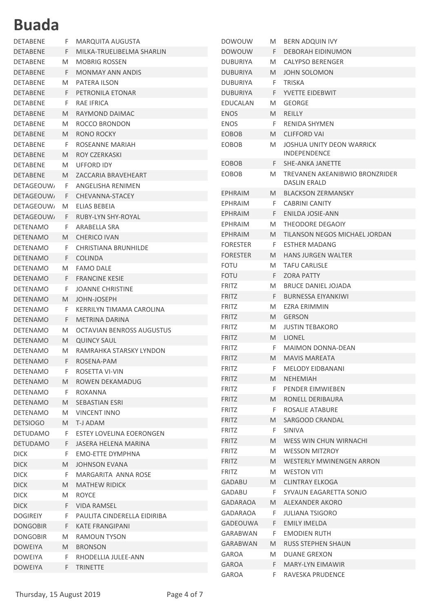| <b>DETABENE</b> | F. | <b>MARQUITA AUGUSTA</b>         | <b>DOWOUW</b>   | M  | <b>BERN ADQUIN IVY</b>         |
|-----------------|----|---------------------------------|-----------------|----|--------------------------------|
| DETABENE        |    | F MILKA-TRUELIBELMA SHARLIN     | <b>DOWOUW</b>   | F. | <b>DEBORAH EIDINUMON</b>       |
| <b>DETABENE</b> | M. | <b>MOBRIG ROSSEN</b>            | <b>DUBURIYA</b> | M  | <b>CALYPSO BERENGER</b>        |
| <b>DETABENE</b> |    | F MONMAY ANN ANDIS              | <b>DUBURIYA</b> | M  | JOHN SOLOMON                   |
| <b>DETABENE</b> | M  | PATERA ILSON                    | <b>DUBURIYA</b> | F. | TRISKA                         |
| <b>DETABENE</b> |    | F PETRONILA ETONAR              | <b>DUBURIYA</b> | F. | <b>YVETTE EIDEBWIT</b>         |
| <b>DETABENE</b> | F. | <b>RAE IFRICA</b>               | EDUCALAN        | M  | <b>GEORGE</b>                  |
| <b>DETABENE</b> | M  | RAYMOND DAIMAC                  | <b>ENOS</b>     | M  | <b>REILLY</b>                  |
| <b>DETABENE</b> | M  | ROCCO BRONDON                   | <b>ENOS</b>     | F. | <b>RENIDA SHYMEN</b>           |
| <b>DETABENE</b> | M. | RONO ROCKY                      | <b>EOBOB</b>    | M  | <b>CLIFFORD VAI</b>            |
| <b>DETABENE</b> | F. | <b>ROSEANNE MARIAH</b>          | <b>EOBOB</b>    | M  | JOSHUA UNITY DEON WARRICK      |
| DETABENE        | M. | ROY CZERKASKI                   |                 |    | INDEPENDENCE                   |
| <b>DETABENE</b> | M  | <b>UFFORD IDY</b>               | EOBOB           | F. | SHE-ANKA JANETTE               |
| <b>DETABENE</b> |    | M ZACCARIA BRAVEHEART           | <b>EOBOB</b>    | M  | TREVANEN AKEANIBWIO BRONZRIDER |
| DETAGEOUW/      | F. | ANGELISHA RENIMEN               |                 |    | <b>DASLIN ERALD</b>            |
| DETAGEOUW/      |    | F CHEVANNA-STACEY               | <b>EPHRAIM</b>  |    | M BLACKSON ZERMANSKY           |
| DETAGEOUW/      |    | M ELIAS BEBEIA                  | <b>EPHRAIM</b>  |    | F CABRINI CANITY               |
| DETAGEOUW/      |    | F RUBY-LYN SHY-ROYAL            | <b>EPHRAIM</b>  | F. | ENILDA JOSIE-ANN               |
| <b>DETENAMO</b> | F. | ARABELLA SRA                    | <b>EPHRAIM</b>  | M  | THEODORE DEGAOIY               |
| <b>DETENAMO</b> |    | M CHERICO IVAN                  | <b>EPHRAIM</b>  | M  | TILANSON NEGOS MICHAEL JORDAN  |
| <b>DETENAMO</b> | F. | <b>CHRISTIANA BRUNHILDE</b>     | <b>FORESTER</b> | F. | <b>ESTHER MADANG</b>           |
| <b>DETENAMO</b> | F. | <b>COLINDA</b>                  | <b>FORESTER</b> | M  | <b>HANS JURGEN WALTER</b>      |
| <b>DETENAMO</b> |    | M FAMO DALE                     | <b>FOTU</b>     | M  | <b>TAFU CARLISLE</b>           |
| <b>DETENAMO</b> |    | <b>F</b> FRANCINE KESIE         | <b>FOTU</b>     | F. | <b>ZORA PATTY</b>              |
| <b>DETENAMO</b> | F. | JOANNE CHRISTINE                | <b>FRITZ</b>    | M  | <b>BRUCE DANIEL JOJADA</b>     |
| <b>DETENAMO</b> | M. | JOHN-JOSEPH                     | <b>FRITZ</b>    | F. | <b>BURNESSA EIYANKIWI</b>      |
| <b>DETENAMO</b> | F. | KERRILYN TIMAMA CAROLINA        | <b>FRITZ</b>    | M  | EZRA ERIMMIN                   |
| <b>DETENAMO</b> |    | F METRINA DARINA                | <b>FRITZ</b>    | M  | <b>GERSON</b>                  |
| <b>DETENAMO</b> | M  | OCTAVIAN BENROSS AUGUSTUS       | <b>FRITZ</b>    | M  | <b>JUSTIN TEBAKORO</b>         |
| <b>DETENAMO</b> | M  | <b>QUINCY SAUL</b>              | <b>FRITZ</b>    | M  | LIONEL                         |
| <b>DETENAMO</b> | M  | RAMRAHKA STARSKY LYNDON         | <b>FRITZ</b>    | F  | <b>MAIMON DONNA-DEAN</b>       |
| <b>DETENAMO</b> | F. | ROSENA-PAM                      | <b>FRITZ</b>    | M  | <b>MAVIS MAREATA</b>           |
| DETENAMO        |    | F ROSETTA VI-VIN                | FRITZ           | F  | <b>MELODY EIDBANANI</b>        |
| <b>DETENAMO</b> | M. | ROWEN DEKAMADUG                 | <b>FRITZ</b>    | M  | NEHEMIAH                       |
| <b>DETENAMO</b> | F. | ROXANNA                         | <b>FRITZ</b>    | F. | PENDER EIMWIEBEN               |
| <b>DETENAMO</b> | M  | <b>SEBASTIAN ESRI</b>           | <b>FRITZ</b>    | M  | RONELL DERIBAURA               |
| <b>DETENAMO</b> | M  | <b>VINCENT INNO</b>             | <b>FRITZ</b>    | F. | ROSALIE ATABURE                |
| <b>DETSIOGO</b> | M. | T-J ADAM                        | <b>FRITZ</b>    | M  | SARGOOD CRANDAL                |
| <b>DETUDAMO</b> | F. | <b>ESTEY LOVELINA EOERONGEN</b> | <b>FRITZ</b>    | F. | SINIVA                         |
| <b>DETUDAMO</b> |    | F JASERA HELENA MARINA          | <b>FRITZ</b>    | M  | WESS WIN CHUN WIRNACHI         |
| <b>DICK</b>     | F. | EMO-ETTE DYMPHNA                | FRITZ           | M  | <b>WESSON MITZROY</b>          |
|                 |    | JOHNSON EVANA                   | <b>FRITZ</b>    | M  | WESTERLY MWINENGEN ARRON       |
| <b>DICK</b>     | M  | MARGARITA ANNA ROSE             | <b>FRITZ</b>    | M  | <b>WESTON VITI</b>             |
| <b>DICK</b>     | F. |                                 | <b>GADABU</b>   | M  | <b>CLINTRAY ELKOGA</b>         |
| <b>DICK</b>     | M  | <b>MATHEW RIDICK</b>            | GADABU          | F. | SYVAUN EAGARETTA SONJO         |
| <b>DICK</b>     | M  | <b>ROYCE</b>                    | <b>GADARAOA</b> |    | M ALEXANDER AKORO              |
| <b>DICK</b>     |    | F VIDA RAMSEL                   | <b>GADARAOA</b> | F. | <b>JULIANA TSIGORO</b>         |
| <b>DOGIREIY</b> | F. | PAULITA CINDERELLA EIDIRIBA     | <b>GADEOUWA</b> | F. | <b>EMILY IMELDA</b>            |
| <b>DONGOBIR</b> |    | F KATE FRANGIPANI               | <b>GARABWAN</b> | F. | <b>EMODIEN RUTH</b>            |
| <b>DONGOBIR</b> | M  | <b>RAMOUN TYSON</b>             | <b>GARABWAN</b> | M  | <b>RUSS STEPHEN SHAUN</b>      |
| <b>DOWEIYA</b>  | M  | <b>BRONSON</b>                  | <b>GAROA</b>    | M  | <b>DUANE GREXON</b>            |
| <b>DOWEIYA</b>  | F. | RHODELLIA JULEE-ANN             | <b>GAROA</b>    | F. | <b>MARY-LYN EIMAWIR</b>        |
| <b>DOWEIYA</b>  |    | F TRINETTE                      | GAROA           | F. | RAVESKA PRUDENCE               |
|                 |    |                                 |                 |    |                                |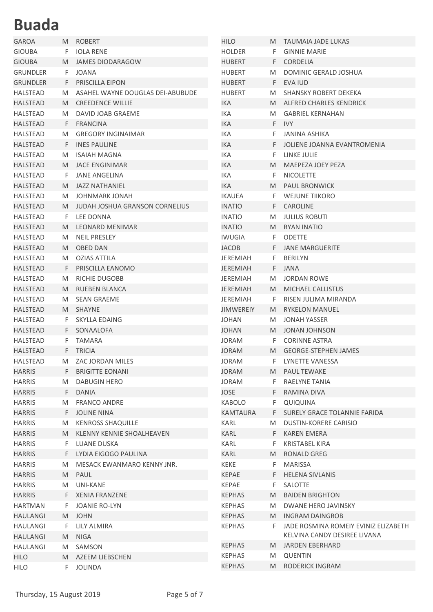| <b>GAROA</b>    | M  | ROBERT                           | <b>HILO</b>      | M  | <b>TAUMAIA JADE LUKAS</b>            |
|-----------------|----|----------------------------------|------------------|----|--------------------------------------|
| <b>GIOUBA</b>   | F. | <b>IOLA RENE</b>                 | <b>HOLDER</b>    | F. | <b>GINNIE MARIE</b>                  |
| <b>GIOUBA</b>   |    | M JAMES DIODARAGOW               | <b>HUBERT</b>    |    | F CORDELIA                           |
| <b>GRUNDLER</b> | F. | <b>JOANA</b>                     | <b>HUBERT</b>    | M  | DOMINIC GERALD JOSHUA                |
| <b>GRUNDLER</b> | F. | PRISCILLA EIPON                  | <b>HUBERT</b>    | F. | <b>EVA IUD</b>                       |
| HALSTEAD        | M  | ASAHEL WAYNE DOUGLAS DEI-ABUBUDE | <b>HUBERT</b>    | M  | SHANSKY ROBERT DEKEKA                |
| <b>HALSTEAD</b> | M. | <b>CREEDENCE WILLIE</b>          | IKA              |    | M ALFRED CHARLES KENDRICK            |
| <b>HALSTEAD</b> | M  | DAVID JOAB GRAEME                | IKA              | M  | <b>GABRIEL KERNAHAN</b>              |
| HALSTEAD        |    | F FRANCINA                       | IKA.             |    | F IVY                                |
| <b>HALSTEAD</b> | M  | <b>GREGORY INGINAIMAR</b>        | IKA              | F. | JANINA ASHIKA                        |
| <b>HALSTEAD</b> | F. | <b>INES PAULINE</b>              | <b>IKA</b>       |    | F JOLIENE JOANNA EVANTROMENIA        |
| <b>HALSTEAD</b> | M  | ISAIAH MAGNA                     | IKA              | F. | LINKE JULIE                          |
| HALSTEAD        | M. | <b>JACE ENGINIMAR</b>            | IKA              |    | M MAEPEZA JOEY PEZA                  |
| <b>HALSTEAD</b> | F. | JANE ANGELINA                    | IKA              |    | F NICOLETTE                          |
| <b>HALSTEAD</b> | M  | <b>JAZZ NATHANIEL</b>            | IKA.             |    | M PAUL BRONWICK                      |
| <b>HALSTEAD</b> | M  | <b>JOHNMARK JONAH</b>            | IKAUEA           |    | <b>F</b> WEJUNE TIIKORO              |
| HALSTEAD        |    | M JUDAH JOSHUA GRANSON CORNELIUS | <b>INATIO</b>    |    | F CAROLINE                           |
| <b>HALSTEAD</b> | F. | LEE DONNA                        | <b>INATIO</b>    |    | M JULIUS ROBUTI                      |
| HALSTEAD        | M. | <b>LEONARD MENIMAR</b>           | <b>INATIO</b>    |    | M RYAN INATIO                        |
| <b>HALSTEAD</b> | M  | <b>NEIL PRESLEY</b>              | <b>IWUGIA</b>    |    | F ODETTE                             |
| <b>HALSTEAD</b> | M  | <b>OBED DAN</b>                  | <b>JACOB</b>     |    | F JANE MARGUERITE                    |
| <b>HALSTEAD</b> | M  | OZIAS ATTILA                     | JEREMIAH         | F  | <b>BERILYN</b>                       |
| HALSTEAD        | F. | PRISCILLA EANOMO                 | JEREMIAH         | F. | JANA                                 |
| <b>HALSTEAD</b> | M  | <b>RICHIE DUGOBB</b>             | <b>JEREMIAH</b>  | M. | <b>JORDAN ROWE</b>                   |
| <b>HALSTEAD</b> | M. | <b>RUEBEN BLANCA</b>             | JEREMIAH         |    | M MICHAEL CALLISTUS                  |
| <b>HALSTEAD</b> | M  | <b>SEAN GRAEME</b>               | <b>JEREMIAH</b>  | F. | RISEN JULIMA MIRANDA                 |
| <b>HALSTEAD</b> | M  | <b>SHAYNE</b>                    | <b>JIMWEREIY</b> | M  | <b>RYKELON MANUEL</b>                |
| <b>HALSTEAD</b> | F. | SKYLLA EDAING                    | <b>JOHAN</b>     | M  | JONAH YASSER                         |
| <b>HALSTEAD</b> |    | F SONAALOFA                      | JOHAN            |    | M JONAN JOHNSON                      |
| HALSTEAD        | F. | <b>TAMARA</b>                    | JORAM            |    | F CORINNE ASTRA                      |
| <b>HALSTEAD</b> |    | F TRICIA                         | JORAM            |    | M GEORGE-STEPHEN JAMES               |
| HALSTEAD        | M  | ZAC JORDAN MILES                 | JORAM            |    | F LYNETTE VANESSA                    |
| <b>HARRIS</b>   | F. | <b>BRIGITTE EONANI</b>           | JORAM            |    | M PAUL TEWAKE                        |
| <b>HARRIS</b>   | M  | <b>DABUGIN HERO</b>              | <b>JORAM</b>     | F. | RAELYNE TANIA                        |
| <b>HARRIS</b>   | F. | <b>DANIA</b>                     | JOSE             | F. | RAMINA DIVA                          |
| <b>HARRIS</b>   | M  | <b>FRANCO ANDRE</b>              | <b>KABOLO</b>    | F. | QUIQUINA                             |
| <b>HARRIS</b>   | F. | <b>JOLINE NINA</b>               | <b>KAMTAURA</b>  |    | F SURELY GRACE TOLANNIE FARIDA       |
| <b>HARRIS</b>   | M  | <b>KENROSS SHAQUILLE</b>         | KARL             | M  | <b>DUSTIN-KORERE CARISIO</b>         |
| <b>HARRIS</b>   | M. | KLENNY KENNIE SHOALHEAVEN        | KARL             |    | F KAREN EMERA                        |
| <b>HARRIS</b>   | F. | <b>LUANE DUSKA</b>               | KARL             | F  | <b>KRISTABEL KIRA</b>                |
| <b>HARRIS</b>   | F. | LYDIA EIGOGO PAULINA             | KARL             | M  | <b>RONALD GREG</b>                   |
| <b>HARRIS</b>   | M  | MESACK EWANMARO KENNY JNR.       | KEKE             | F. | <b>MARISSA</b>                       |
| <b>HARRIS</b>   | M  | PAUL                             | <b>KEPAE</b>     |    | F HELENA SIVLANIS                    |
| <b>HARRIS</b>   | M  | UNI-KANE                         | KEPAE            | F. | SALOTTE                              |
| <b>HARRIS</b>   |    | F XENIA FRANZENE                 | <b>KEPHAS</b>    | M  | <b>BAIDEN BRIGHTON</b>               |
| <b>HARTMAN</b>  | F. | JOANIE RO-LYN                    | <b>KEPHAS</b>    | M  | DWANE HERO JAVINSKY                  |
| <b>HAULANGI</b> |    | M JOHN                           | <b>KEPHAS</b>    |    | M INGRAM DAINGROB                    |
| <b>HAULANGI</b> | F. | LILY ALMIRA                      | <b>KEPHAS</b>    | F. | JADE ROSMINA ROMEIY EVINIZ ELIZABETH |
| <b>HAULANGI</b> | M  | <b>NIGA</b>                      |                  |    | KELVINA CANDY DESIREE LIVANA         |
| <b>HAULANGI</b> | M  | SAMSON                           | <b>KEPHAS</b>    |    | M JARDEN EBERHARD                    |
| <b>HILO</b>     | M. | AZEEM LIEBSCHEN                  | <b>KEPHAS</b>    | M  | QUENTIN                              |
| <b>HILO</b>     | F. | <b>JOLINDA</b>                   | <b>KEPHAS</b>    |    | M RODERICK INGRAM                    |
|                 |    |                                  |                  |    |                                      |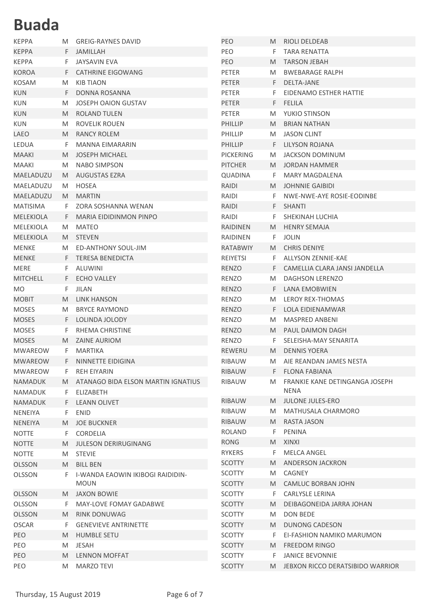| <b>KEPPA</b>     | M  | <b>GREIG-RAYNES DAVID</b>          | <b>PEO</b>      | M  | <b>RIOLI DELDEAB</b>               |
|------------------|----|------------------------------------|-----------------|----|------------------------------------|
| KEPPA            | F. | JAMILLAH                           | PEO             | F. | TARA RENATTA                       |
| <b>KEPPA</b>     | F. | JAYSAVIN EVA                       | <b>PEO</b>      | M  | TARSON JEBAH                       |
| KOROA            | F. | <b>CATHRINE EIGOWANG</b>           | PETER           | M  | <b>BWEBARAGE RALPH</b>             |
| <b>KOSAM</b>     | M  | <b>KIB TIAON</b>                   | <b>PETER</b>    |    | F DELTA-JANE                       |
| <b>KUN</b>       | F. | DONNA ROSANNA                      | PETER           | F. | EIDENAMO ESTHER HATTIE             |
| <b>KUN</b>       | M. | <b>JOSEPH OAION GUSTAV</b>         | <b>PETER</b>    |    | F FELILA                           |
| <b>KUN</b>       | M  | ROLAND TULEN                       | PETER           |    | M YUKIO STINSON                    |
| <b>KUN</b>       | M  | <b>ROVELIK ROUEN</b>               | <b>PHILLIP</b>  | M  | <b>BRIAN NATHAN</b>                |
| LAEO             | M  | <b>RANCY ROLEM</b>                 | <b>PHILLIP</b>  | M  | JASON CLINT                        |
| LEDUA            | F. | MANNA EIMARARIN                    | <b>PHILLIP</b>  |    | F LILYSON ROJANA                   |
| MAAKI            | M. | <b>JOSEPH MICHAEL</b>              | PICKERING       | M  | JACKSON DOMINUM                    |
| MAAKI            | M  | <b>NABO SIMPSON</b>                | <b>PITCHER</b>  |    | M JORDAN HAMMER                    |
| MAELADUZU        | M  | <b>AUGUSTAS EZRA</b>               | <b>QUADINA</b>  | F. | MARY MAGDALENA                     |
| MAELADUZU        | M  | HOSEA                              | RAIDI           |    | M JOHNNIE GAIBIDI                  |
| MAELADUZU        | M. | <b>MARTIN</b>                      | RAIDI           | F. | NWE-NWE-AYE ROSIE-EODINBE          |
| <b>MATISIMA</b>  | F. | ZORA SOSHANNA WENAN                | RAIDI           |    | F SHANTI                           |
| <b>MELEKIOLA</b> | F. | <b>MARIA EIDIDINMON PINPO</b>      | RAIDI           |    | F SHEKINAH LUCHIA                  |
| MELEKIOLA        | M  | MATEO                              | RAIDINEN        |    | M HENRY SEMAJA                     |
| <b>MELEKIOLA</b> | M  | <b>STEVEN</b>                      | <b>RAIDINEN</b> | F. | <b>JOLIN</b>                       |
| <b>MENKE</b>     | M  | ED-ANTHONY SOUL-JIM                | RATABWIY        | M. | <b>CHRIS DENIYE</b>                |
| <b>MENKE</b>     |    | F TERESA BENEDICTA                 | <b>REIYETSI</b> | F. | ALLYSON ZENNIE-KAE                 |
| MERE             |    | F ALUWINI                          | <b>RENZO</b>    |    | F CAMELLIA CLARA JANSI JANDELLA    |
| <b>MITCHELL</b>  |    | F ECHO VALLEY                      | <b>RENZO</b>    |    | M DAGHSON LERENZO                  |
| MO.              | F. | JILAN                              | <b>RENZO</b>    | F. | LANA EMOBWIEN                      |
| <b>MOBIT</b>     | M. | LINK HANSON                        | RENZO           | M  | LEROY REX-THOMAS                   |
| <b>MOSES</b>     | M  | <b>BRYCE RAYMOND</b>               | <b>RENZO</b>    |    | F LOLA EIDIENAMWAR                 |
| <b>MOSES</b>     |    | F LOLINDA JOLODY                   | <b>RENZO</b>    | M  | MASPRED ANBENI                     |
| <b>MOSES</b>     | F. | <b>RHEMA CHRISTINE</b>             | <b>RENZO</b>    |    | M PAUL DAIMON DAGH                 |
| <b>MOSES</b>     | M. | ZAINE AURIOM                       | RENZO           |    | F SELEISHA-MAY SENARITA            |
| <b>MWAREOW</b>   | F. | MARTIKA                            | <b>REWERU</b>   |    | M DENNIS YOERA                     |
| MWAREOW          |    | F NINNETTE EIDIGINA                | RIBAUW          |    | M AIE REANDAN JAMES NESTA          |
| <b>MWAREOW</b>   | F. | <b>REH EIYARIN</b>                 | <b>RIBAUW</b>   | F. | <b>FLONA FABIANA</b>               |
| <b>NAMADUK</b>   | M  | ATANAGO BIDA ELSON MARTIN IGNATIUS | RIBAUW          | M  | FRANKIE KANE DETINGANGA JOSEPH     |
| <b>NAMADUK</b>   | F. | <b>ELIZABETH</b>                   |                 |    | <b>NENA</b>                        |
| <b>NAMADUK</b>   |    | <b>F</b> LEANN OLIVET              | <b>RIBAUW</b>   | M  | <b>JULONE JULES-ERO</b>            |
| NENEIYA          | F. | ENID                               | RIBAUW          | M  | <b>MATHUSALA CHARMORO</b>          |
| NENEIYA          | M. | <b>JOE BUCKNER</b>                 | RIBAUW          | M  | <b>RASTA JASON</b>                 |
| <b>NOTTE</b>     | F. | CORDELIA                           | ROLAND          | F. | PENINA                             |
| <b>NOTTE</b>     | M  | <b>JULESON DERIRUGINANG</b>        | RONG            |    | M XINXI                            |
| <b>NOTTE</b>     | M  | <b>STEVIE</b>                      | <b>RYKERS</b>   | F  | MELCA ANGEL                        |
| <b>OLSSON</b>    | M. | <b>BILL BEN</b>                    | <b>SCOTTY</b>   | M  | <b>ANDERSON JACKRON</b>            |
| <b>OLSSON</b>    | F. | I-WANDA EAOWIN IKIBOGI RAIDIDIN-   | <b>SCOTTY</b>   | M  | <b>CAGNEY</b>                      |
|                  |    | <b>MOUN</b>                        | <b>SCOTTY</b>   |    | M CAMLUC BORBAN JOHN               |
| <b>OLSSON</b>    | M  | <b>JAXON BOWIE</b>                 | <b>SCOTTY</b>   | F. | <b>CARLYSLE LERINA</b>             |
| <b>OLSSON</b>    | F. | <b>MAY-LOVE FOMAY GADABWE</b>      | <b>SCOTTY</b>   | M  | DEIBAGONEIDA JARRA JOHAN           |
| <b>OLSSON</b>    | M  | <b>RINK DONUWAG</b>                | <b>SCOTTY</b>   | M  | <b>DON BEDE</b>                    |
| <b>OSCAR</b>     | F. | <b>GENEVIEVE ANTRINETTE</b>        | <b>SCOTTY</b>   | M  | <b>DUNONG CADESON</b>              |
| PEO              | M  | <b>HUMBLE SETU</b>                 | <b>SCOTTY</b>   | F  | EI-FASHION NAMIKO MARUMON          |
| PEO              | M  | <b>JESAH</b>                       | <b>SCOTTY</b>   | M  | <b>FREEDOM RINGO</b>               |
| PEO              | M  | <b>LENNON MOFFAT</b>               | <b>SCOTTY</b>   | F  | <b>JANICE BEVONNIE</b>             |
| PEO              | M  | <b>MARZO TEVI</b>                  | <b>SCOTTY</b>   |    | M JEBXON RICCO DERATSIBIDO WARRIOR |
|                  |    |                                    |                 |    |                                    |